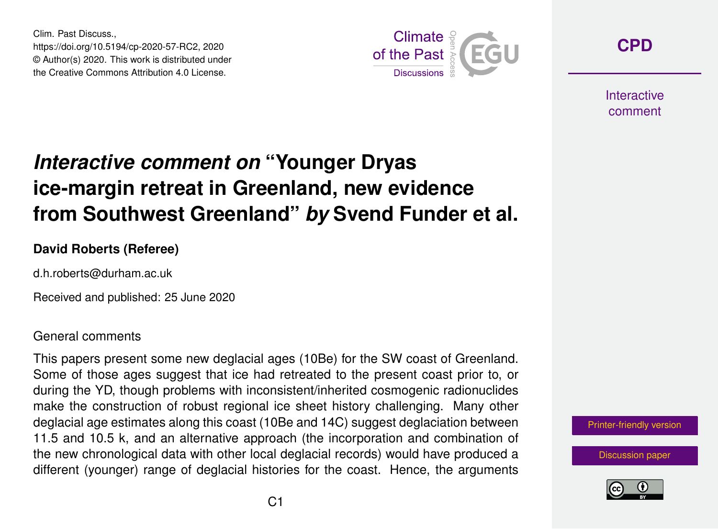Clim. Past Discuss., https://doi.org/10.5194/cp-2020-57-RC2, 2020 © Author(s) 2020. This work is distributed under the Creative Commons Attribution 4.0 License.



**[CPD](https://cp.copernicus.org/preprints/)**

**Interactive** comment

# *Interactive comment on* **"Younger Dryas ice-margin retreat in Greenland, new evidence from Southwest Greenland"** *by* **Svend Funder et al.**

## **David Roberts (Referee)**

d.h.roberts@durham.ac.uk

Received and published: 25 June 2020

#### General comments

This papers present some new deglacial ages (10Be) for the SW coast of Greenland. Some of those ages suggest that ice had retreated to the present coast prior to, or during the YD, though problems with inconsistent/inherited cosmogenic radionuclides make the construction of robust regional ice sheet history challenging. Many other deglacial age estimates along this coast (10Be and 14C) suggest deglaciation between 11.5 and 10.5 k, and an alternative approach (the incorporation and combination of the new chronological data with other local deglacial records) would have produced a different (younger) range of deglacial histories for the coast. Hence, the arguments



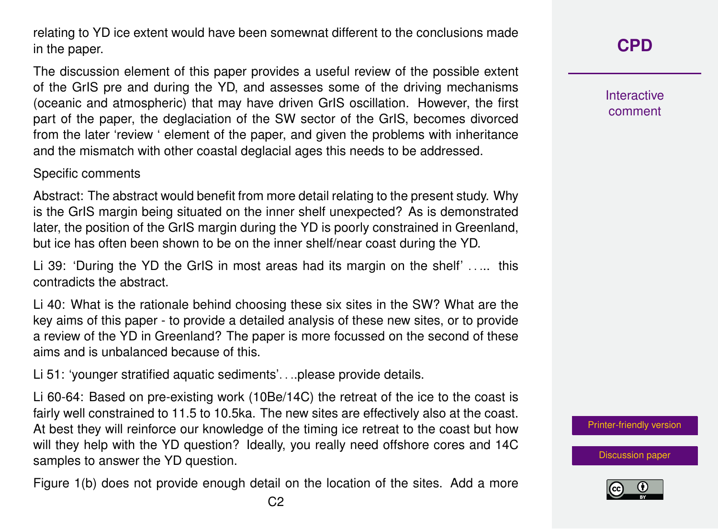relating to YD ice extent would have been somewnat different to the conclusions made in the paper.

The discussion element of this paper provides a useful review of the possible extent of the GrIS pre and during the YD, and assesses some of the driving mechanisms (oceanic and atmospheric) that may have driven GrIS oscillation. However, the first part of the paper, the deglaciation of the SW sector of the GrIS, becomes divorced from the later 'review ' element of the paper, and given the problems with inheritance and the mismatch with other coastal deglacial ages this needs to be addressed.

### Specific comments

Abstract: The abstract would benefit from more detail relating to the present study. Why is the GrIS margin being situated on the inner shelf unexpected? As is demonstrated later, the position of the GrIS margin during the YD is poorly constrained in Greenland, but ice has often been shown to be on the inner shelf/near coast during the YD.

Li 39: 'During the YD the GrIS in most areas had its margin on the shelf' ..... this contradicts the abstract.

Li 40: What is the rationale behind choosing these six sites in the SW? What are the key aims of this paper - to provide a detailed analysis of these new sites, or to provide a review of the YD in Greenland? The paper is more focussed on the second of these aims and is unbalanced because of this.

Li 51: 'younger stratified aquatic sediments'. . ..please provide details.

Li 60-64: Based on pre-existing work (10Be/14C) the retreat of the ice to the coast is fairly well constrained to 11.5 to 10.5ka. The new sites are effectively also at the coast. At best they will reinforce our knowledge of the timing ice retreat to the coast but how will they help with the YD question? Ideally, you really need offshore cores and 14C samples to answer the YD question.

Figure 1(b) does not provide enough detail on the location of the sites. Add a more

Interactive comment

[Printer-friendly version](https://cp.copernicus.org/preprints/cp-2020-57/cp-2020-57-RC2-print.pdf)

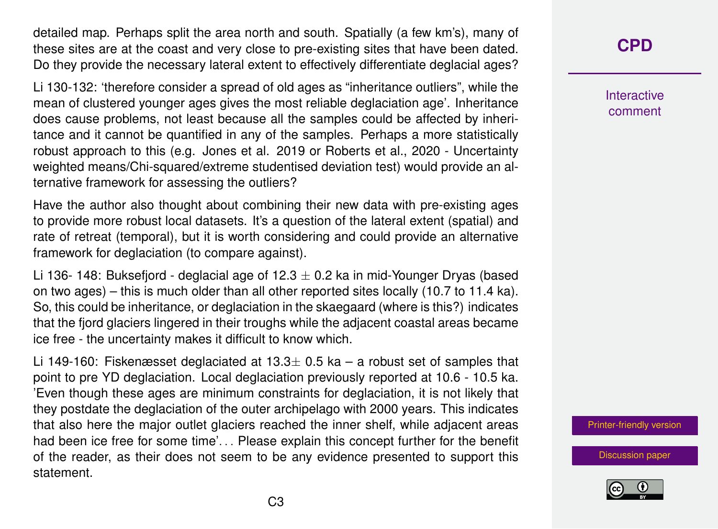detailed map. Perhaps split the area north and south. Spatially (a few km's), many of these sites are at the coast and very close to pre-existing sites that have been dated. Do they provide the necessary lateral extent to effectively differentiate deglacial ages?

Li 130-132: 'therefore consider a spread of old ages as "inheritance outliers", while the mean of clustered younger ages gives the most reliable deglaciation age'. Inheritance does cause problems, not least because all the samples could be affected by inheritance and it cannot be quantified in any of the samples. Perhaps a more statistically robust approach to this (e.g. Jones et al. 2019 or Roberts et al., 2020 - Uncertainty weighted means/Chi-squared/extreme studentised deviation test) would provide an alternative framework for assessing the outliers?

Have the author also thought about combining their new data with pre-existing ages to provide more robust local datasets. It's a question of the lateral extent (spatial) and rate of retreat (temporal), but it is worth considering and could provide an alternative framework for deglaciation (to compare against).

Li 136- 148: Buksefjord - deglacial age of 12.3  $\pm$  0.2 ka in mid-Younger Dryas (based on two ages) – this is much older than all other reported sites locally (10.7 to 11.4 ka). So, this could be inheritance, or deglaciation in the skaegaard (where is this?) indicates that the fjord glaciers lingered in their troughs while the adjacent coastal areas became ice free - the uncertainty makes it difficult to know which.

Li 149-160: Fiskenæsset deglaciated at 13.3 $\pm$  0.5 ka – a robust set of samples that point to pre YD deglaciation. Local deglaciation previously reported at 10.6 - 10.5 ka. 'Even though these ages are minimum constraints for deglaciation, it is not likely that they postdate the deglaciation of the outer archipelago with 2000 years. This indicates that also here the major outlet glaciers reached the inner shelf, while adjacent areas had been ice free for some time'... Please explain this concept further for the benefit of the reader, as their does not seem to be any evidence presented to support this statement.

**[CPD](https://cp.copernicus.org/preprints/)**

Interactive comment

[Printer-friendly version](https://cp.copernicus.org/preprints/cp-2020-57/cp-2020-57-RC2-print.pdf)

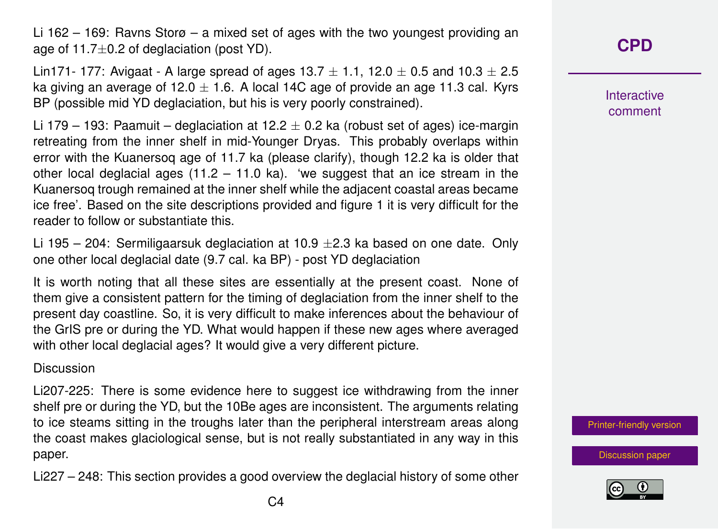Li 162 – 169: Ravns Storø – a mixed set of ages with the two youngest providing an age of  $11.7\pm0.2$  of deglaciation (post YD).

Lin171- 177: Avigaat - A large spread of ages 13.7  $\pm$  1.1, 12.0  $\pm$  0.5 and 10.3  $\pm$  2.5 ka giving an average of 12.0  $\pm$  1.6. A local 14C age of provide an age 11.3 cal. Kyrs BP (possible mid YD deglaciation, but his is very poorly constrained).

Li 179 – 193: Paamuit – deglaciation at 12.2  $\pm$  0.2 ka (robust set of ages) ice-margin retreating from the inner shelf in mid-Younger Dryas. This probably overlaps within error with the Kuanersoq age of 11.7 ka (please clarify), though 12.2 ka is older that other local deglacial ages  $(11.2 - 11.0 \text{ ka})$ . 'we suggest that an ice stream in the Kuanersoq trough remained at the inner shelf while the adjacent coastal areas became ice free'. Based on the site descriptions provided and figure 1 it is very difficult for the reader to follow or substantiate this.

Li 195 – 204: Sermiligaarsuk deglaciation at 10.9  $\pm$ 2.3 ka based on one date. Only one other local deglacial date (9.7 cal. ka BP) - post YD deglaciation

It is worth noting that all these sites are essentially at the present coast. None of them give a consistent pattern for the timing of deglaciation from the inner shelf to the present day coastline. So, it is very difficult to make inferences about the behaviour of the GrIS pre or during the YD. What would happen if these new ages where averaged with other local deglacial ages? It would give a very different picture.

#### Discussion

Li207-225: There is some evidence here to suggest ice withdrawing from the inner shelf pre or during the YD, but the 10Be ages are inconsistent. The arguments relating to ice steams sitting in the troughs later than the peripheral interstream areas along the coast makes glaciological sense, but is not really substantiated in any way in this paper.

Li227 – 248: This section provides a good overview the deglacial history of some other

Interactive comment

[Printer-friendly version](https://cp.copernicus.org/preprints/cp-2020-57/cp-2020-57-RC2-print.pdf)